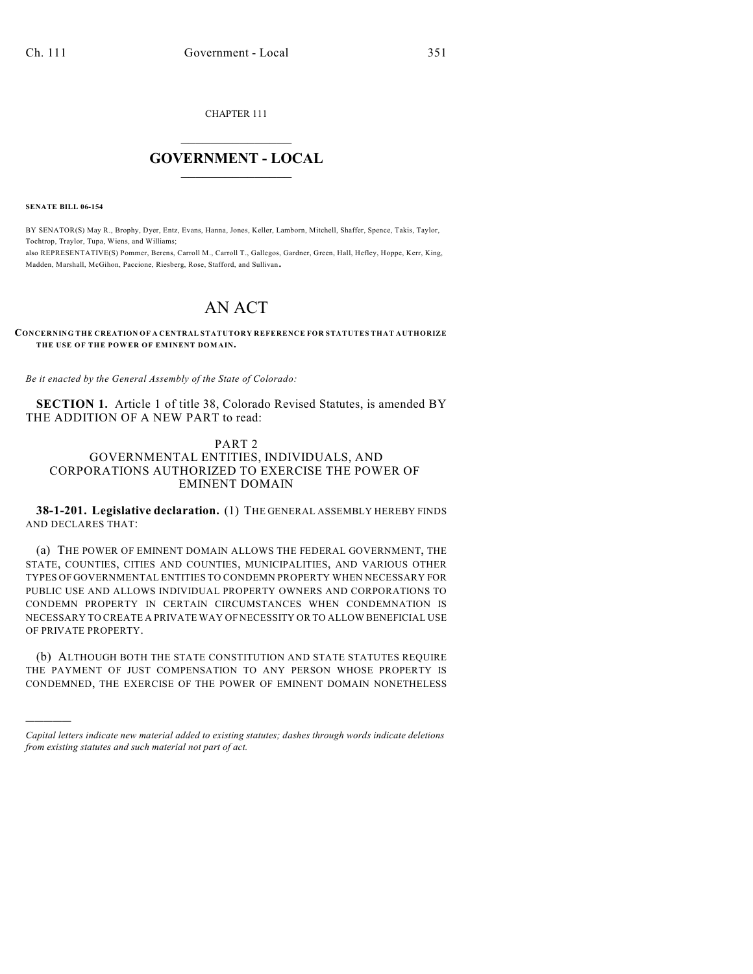CHAPTER 111

## $\overline{\phantom{a}}$  . The set of the set of the set of the set of the set of the set of the set of the set of the set of the set of the set of the set of the set of the set of the set of the set of the set of the set of the set o **GOVERNMENT - LOCAL**  $\_$

**SENATE BILL 06-154**

)))))

BY SENATOR(S) May R., Brophy, Dyer, Entz, Evans, Hanna, Jones, Keller, Lamborn, Mitchell, Shaffer, Spence, Takis, Taylor, Tochtrop, Traylor, Tupa, Wiens, and Williams; also REPRESENTATIVE(S) Pommer, Berens, Carroll M., Carroll T., Gallegos, Gardner, Green, Hall, Hefley, Hoppe, Kerr, King, Madden, Marshall, McGihon, Paccione, Riesberg, Rose, Stafford, and Sullivan.

# AN ACT

#### **CONCERNING THE CREATION OF A CENTRAL STATUTORY REFERENCE FOR STATUTES THAT AUTHORIZE THE USE OF THE POWER OF EMINENT DOMAIN.**

*Be it enacted by the General Assembly of the State of Colorado:*

**SECTION 1.** Article 1 of title 38, Colorado Revised Statutes, is amended BY THE ADDITION OF A NEW PART to read:

### PART 2 GOVERNMENTAL ENTITIES, INDIVIDUALS, AND CORPORATIONS AUTHORIZED TO EXERCISE THE POWER OF EMINENT DOMAIN

**38-1-201. Legislative declaration.** (1) THE GENERAL ASSEMBLY HEREBY FINDS AND DECLARES THAT:

(a) THE POWER OF EMINENT DOMAIN ALLOWS THE FEDERAL GOVERNMENT, THE STATE, COUNTIES, CITIES AND COUNTIES, MUNICIPALITIES, AND VARIOUS OTHER TYPES OF GOVERNMENTAL ENTITIES TO CONDEMN PROPERTY WHEN NECESSARY FOR PUBLIC USE AND ALLOWS INDIVIDUAL PROPERTY OWNERS AND CORPORATIONS TO CONDEMN PROPERTY IN CERTAIN CIRCUMSTANCES WHEN CONDEMNATION IS NECESSARY TO CREATE A PRIVATE WAY OF NECESSITY OR TO ALLOW BENEFICIAL USE OF PRIVATE PROPERTY.

(b) ALTHOUGH BOTH THE STATE CONSTITUTION AND STATE STATUTES REQUIRE THE PAYMENT OF JUST COMPENSATION TO ANY PERSON WHOSE PROPERTY IS CONDEMNED, THE EXERCISE OF THE POWER OF EMINENT DOMAIN NONETHELESS

*Capital letters indicate new material added to existing statutes; dashes through words indicate deletions from existing statutes and such material not part of act.*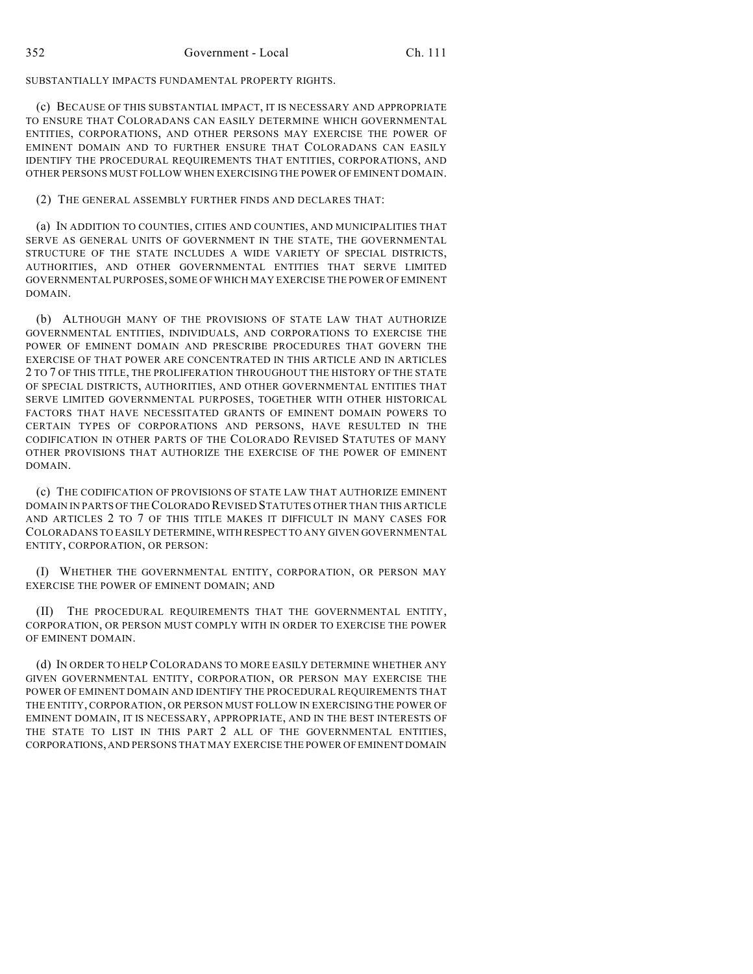SUBSTANTIALLY IMPACTS FUNDAMENTAL PROPERTY RIGHTS.

(c) BECAUSE OF THIS SUBSTANTIAL IMPACT, IT IS NECESSARY AND APPROPRIATE TO ENSURE THAT COLORADANS CAN EASILY DETERMINE WHICH GOVERNMENTAL ENTITIES, CORPORATIONS, AND OTHER PERSONS MAY EXERCISE THE POWER OF EMINENT DOMAIN AND TO FURTHER ENSURE THAT COLORADANS CAN EASILY IDENTIFY THE PROCEDURAL REQUIREMENTS THAT ENTITIES, CORPORATIONS, AND OTHER PERSONS MUST FOLLOW WHEN EXERCISING THE POWER OF EMINENT DOMAIN.

### (2) THE GENERAL ASSEMBLY FURTHER FINDS AND DECLARES THAT:

(a) IN ADDITION TO COUNTIES, CITIES AND COUNTIES, AND MUNICIPALITIES THAT SERVE AS GENERAL UNITS OF GOVERNMENT IN THE STATE, THE GOVERNMENTAL STRUCTURE OF THE STATE INCLUDES A WIDE VARIETY OF SPECIAL DISTRICTS, AUTHORITIES, AND OTHER GOVERNMENTAL ENTITIES THAT SERVE LIMITED GOVERNMENTAL PURPOSES, SOME OF WHICH MAY EXERCISE THE POWER OF EMINENT DOMAIN.

(b) ALTHOUGH MANY OF THE PROVISIONS OF STATE LAW THAT AUTHORIZE GOVERNMENTAL ENTITIES, INDIVIDUALS, AND CORPORATIONS TO EXERCISE THE POWER OF EMINENT DOMAIN AND PRESCRIBE PROCEDURES THAT GOVERN THE EXERCISE OF THAT POWER ARE CONCENTRATED IN THIS ARTICLE AND IN ARTICLES 2 TO 7 OF THIS TITLE, THE PROLIFERATION THROUGHOUT THE HISTORY OF THE STATE OF SPECIAL DISTRICTS, AUTHORITIES, AND OTHER GOVERNMENTAL ENTITIES THAT SERVE LIMITED GOVERNMENTAL PURPOSES, TOGETHER WITH OTHER HISTORICAL FACTORS THAT HAVE NECESSITATED GRANTS OF EMINENT DOMAIN POWERS TO CERTAIN TYPES OF CORPORATIONS AND PERSONS, HAVE RESULTED IN THE CODIFICATION IN OTHER PARTS OF THE COLORADO REVISED STATUTES OF MANY OTHER PROVISIONS THAT AUTHORIZE THE EXERCISE OF THE POWER OF EMINENT DOMAIN.

(c) THE CODIFICATION OF PROVISIONS OF STATE LAW THAT AUTHORIZE EMINENT DOMAIN IN PARTS OF THE COLORADO REVISED STATUTES OTHER THAN THIS ARTICLE AND ARTICLES 2 TO 7 OF THIS TITLE MAKES IT DIFFICULT IN MANY CASES FOR COLORADANS TO EASILY DETERMINE, WITH RESPECT TO ANY GIVEN GOVERNMENTAL ENTITY, CORPORATION, OR PERSON:

(I) WHETHER THE GOVERNMENTAL ENTITY, CORPORATION, OR PERSON MAY EXERCISE THE POWER OF EMINENT DOMAIN; AND

(II) THE PROCEDURAL REQUIREMENTS THAT THE GOVERNMENTAL ENTITY, CORPORATION, OR PERSON MUST COMPLY WITH IN ORDER TO EXERCISE THE POWER OF EMINENT DOMAIN.

(d) IN ORDER TO HELP COLORADANS TO MORE EASILY DETERMINE WHETHER ANY GIVEN GOVERNMENTAL ENTITY, CORPORATION, OR PERSON MAY EXERCISE THE POWER OF EMINENT DOMAIN AND IDENTIFY THE PROCEDURAL REQUIREMENTS THAT THE ENTITY, CORPORATION, OR PERSON MUST FOLLOW IN EXERCISING THE POWER OF EMINENT DOMAIN, IT IS NECESSARY, APPROPRIATE, AND IN THE BEST INTERESTS OF THE STATE TO LIST IN THIS PART 2 ALL OF THE GOVERNMENTAL ENTITIES, CORPORATIONS, AND PERSONS THAT MAY EXERCISE THE POWER OF EMINENT DOMAIN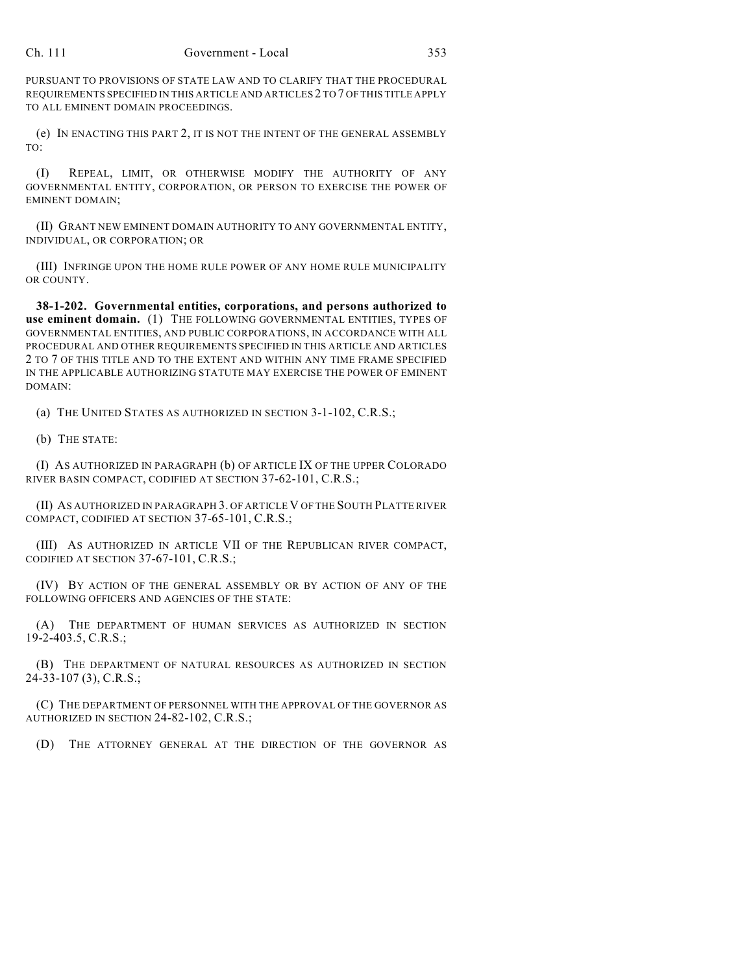PURSUANT TO PROVISIONS OF STATE LAW AND TO CLARIFY THAT THE PROCEDURAL REQUIREMENTS SPECIFIED IN THIS ARTICLE AND ARTICLES 2 TO 7 OF THIS TITLE APPLY TO ALL EMINENT DOMAIN PROCEEDINGS.

(e) IN ENACTING THIS PART 2, IT IS NOT THE INTENT OF THE GENERAL ASSEMBLY TO:

(I) REPEAL, LIMIT, OR OTHERWISE MODIFY THE AUTHORITY OF ANY GOVERNMENTAL ENTITY, CORPORATION, OR PERSON TO EXERCISE THE POWER OF EMINENT DOMAIN;

(II) GRANT NEW EMINENT DOMAIN AUTHORITY TO ANY GOVERNMENTAL ENTITY, INDIVIDUAL, OR CORPORATION; OR

(III) INFRINGE UPON THE HOME RULE POWER OF ANY HOME RULE MUNICIPALITY OR COUNTY.

**38-1-202. Governmental entities, corporations, and persons authorized to use eminent domain.** (1) THE FOLLOWING GOVERNMENTAL ENTITIES, TYPES OF GOVERNMENTAL ENTITIES, AND PUBLIC CORPORATIONS, IN ACCORDANCE WITH ALL PROCEDURAL AND OTHER REQUIREMENTS SPECIFIED IN THIS ARTICLE AND ARTICLES 2 TO 7 OF THIS TITLE AND TO THE EXTENT AND WITHIN ANY TIME FRAME SPECIFIED IN THE APPLICABLE AUTHORIZING STATUTE MAY EXERCISE THE POWER OF EMINENT DOMAIN:

(a) THE UNITED STATES AS AUTHORIZED IN SECTION 3-1-102, C.R.S.;

(b) THE STATE:

(I) AS AUTHORIZED IN PARAGRAPH (b) OF ARTICLE IX OF THE UPPER COLORADO RIVER BASIN COMPACT, CODIFIED AT SECTION 37-62-101, C.R.S.;

(II) AS AUTHORIZED IN PARAGRAPH 3. OF ARTICLE V OF THE SOUTH PLATTE RIVER COMPACT, CODIFIED AT SECTION 37-65-101, C.R.S.;

(III) AS AUTHORIZED IN ARTICLE VII OF THE REPUBLICAN RIVER COMPACT, CODIFIED AT SECTION 37-67-101, C.R.S.;

(IV) BY ACTION OF THE GENERAL ASSEMBLY OR BY ACTION OF ANY OF THE FOLLOWING OFFICERS AND AGENCIES OF THE STATE:

(A) THE DEPARTMENT OF HUMAN SERVICES AS AUTHORIZED IN SECTION 19-2-403.5, C.R.S.;

(B) THE DEPARTMENT OF NATURAL RESOURCES AS AUTHORIZED IN SECTION 24-33-107 (3), C.R.S.;

(C) THE DEPARTMENT OF PERSONNEL WITH THE APPROVAL OF THE GOVERNOR AS AUTHORIZED IN SECTION 24-82-102, C.R.S.;

(D) THE ATTORNEY GENERAL AT THE DIRECTION OF THE GOVERNOR AS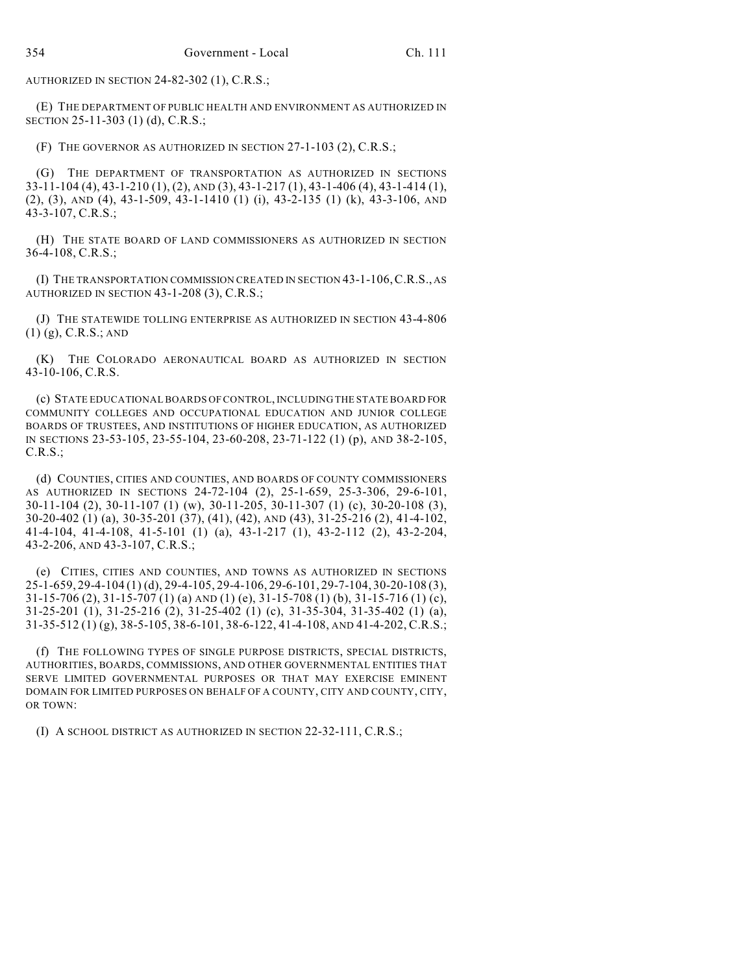AUTHORIZED IN SECTION 24-82-302 (1), C.R.S.;

(E) THE DEPARTMENT OF PUBLIC HEALTH AND ENVIRONMENT AS AUTHORIZED IN SECTION 25-11-303 (1) (d), C.R.S.;

(F) THE GOVERNOR AS AUTHORIZED IN SECTION 27-1-103 (2), C.R.S.;

(G) THE DEPARTMENT OF TRANSPORTATION AS AUTHORIZED IN SECTIONS 33-11-104 (4), 43-1-210 (1), (2), AND (3), 43-1-217 (1), 43-1-406 (4), 43-1-414 (1), (2), (3), AND (4), 43-1-509, 43-1-1410 (1) (i), 43-2-135 (1) (k), 43-3-106, AND 43-3-107, C.R.S.;

(H) THE STATE BOARD OF LAND COMMISSIONERS AS AUTHORIZED IN SECTION 36-4-108, C.R.S.;

(I) THE TRANSPORTATION COMMISSION CREATED IN SECTION 43-1-106,C.R.S., AS AUTHORIZED IN SECTION 43-1-208 (3), C.R.S.;

(J) THE STATEWIDE TOLLING ENTERPRISE AS AUTHORIZED IN SECTION 43-4-806 (1) (g), C.R.S.; AND

(K) THE COLORADO AERONAUTICAL BOARD AS AUTHORIZED IN SECTION 43-10-106, C.R.S.

(c) STATE EDUCATIONAL BOARDS OF CONTROL, INCLUDING THE STATE BOARD FOR COMMUNITY COLLEGES AND OCCUPATIONAL EDUCATION AND JUNIOR COLLEGE BOARDS OF TRUSTEES, AND INSTITUTIONS OF HIGHER EDUCATION, AS AUTHORIZED IN SECTIONS 23-53-105, 23-55-104, 23-60-208, 23-71-122 (1) (p), AND 38-2-105, C.R.S.;

(d) COUNTIES, CITIES AND COUNTIES, AND BOARDS OF COUNTY COMMISSIONERS AS AUTHORIZED IN SECTIONS 24-72-104 (2), 25-1-659, 25-3-306, 29-6-101, 30-11-104 (2), 30-11-107 (1) (w), 30-11-205, 30-11-307 (1) (c), 30-20-108 (3), 30-20-402 (1) (a), 30-35-201 (37), (41), (42), AND (43), 31-25-216 (2), 41-4-102, 41-4-104, 41-4-108, 41-5-101 (1) (a), 43-1-217 (1), 43-2-112 (2), 43-2-204, 43-2-206, AND 43-3-107, C.R.S.;

(e) CITIES, CITIES AND COUNTIES, AND TOWNS AS AUTHORIZED IN SECTIONS 25-1-659, 29-4-104 (1) (d), 29-4-105, 29-4-106, 29-6-101, 29-7-104, 30-20-108 (3), 31-15-706 (2), 31-15-707 (1) (a) AND (1) (e), 31-15-708 (1) (b), 31-15-716 (1) (c), 31-25-201 (1), 31-25-216 (2), 31-25-402 (1) (c), 31-35-304, 31-35-402 (1) (a), 31-35-512 (1) (g), 38-5-105, 38-6-101, 38-6-122, 41-4-108, AND 41-4-202, C.R.S.;

(f) THE FOLLOWING TYPES OF SINGLE PURPOSE DISTRICTS, SPECIAL DISTRICTS, AUTHORITIES, BOARDS, COMMISSIONS, AND OTHER GOVERNMENTAL ENTITIES THAT SERVE LIMITED GOVERNMENTAL PURPOSES OR THAT MAY EXERCISE EMINENT DOMAIN FOR LIMITED PURPOSES ON BEHALF OF A COUNTY, CITY AND COUNTY, CITY, OR TOWN:

(I) A SCHOOL DISTRICT AS AUTHORIZED IN SECTION 22-32-111, C.R.S.;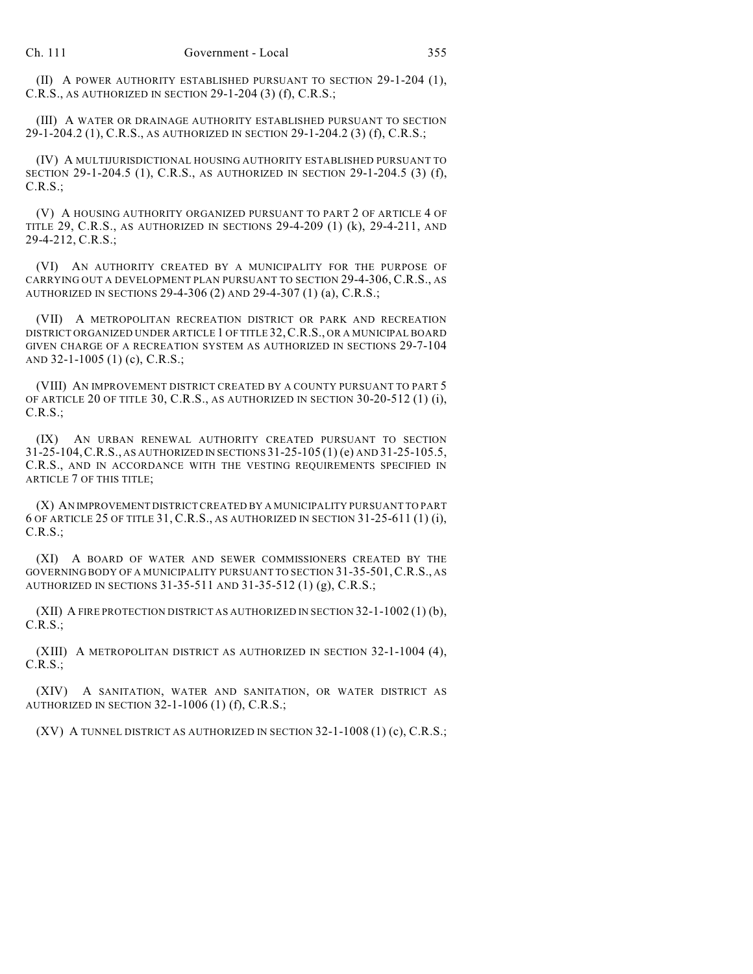(II) A POWER AUTHORITY ESTABLISHED PURSUANT TO SECTION 29-1-204 (1), C.R.S., AS AUTHORIZED IN SECTION 29-1-204 (3) (f), C.R.S.;

(III) A WATER OR DRAINAGE AUTHORITY ESTABLISHED PURSUANT TO SECTION 29-1-204.2 (1), C.R.S., AS AUTHORIZED IN SECTION 29-1-204.2 (3) (f), C.R.S.;

(IV) A MULTIJURISDICTIONAL HOUSING AUTHORITY ESTABLISHED PURSUANT TO SECTION 29-1-204.5 (1), C.R.S., AS AUTHORIZED IN SECTION 29-1-204.5 (3) (f), C.R.S.;

(V) A HOUSING AUTHORITY ORGANIZED PURSUANT TO PART 2 OF ARTICLE 4 OF TITLE 29, C.R.S., AS AUTHORIZED IN SECTIONS 29-4-209 (1) (k), 29-4-211, AND 29-4-212, C.R.S.;

(VI) AN AUTHORITY CREATED BY A MUNICIPALITY FOR THE PURPOSE OF CARRYING OUT A DEVELOPMENT PLAN PURSUANT TO SECTION 29-4-306, C.R.S., AS AUTHORIZED IN SECTIONS 29-4-306 (2) AND 29-4-307 (1) (a), C.R.S.;

(VII) A METROPOLITAN RECREATION DISTRICT OR PARK AND RECREATION DISTRICT ORGANIZED UNDER ARTICLE 1 OF TITLE 32,C.R.S., OR A MUNICIPAL BOARD GIVEN CHARGE OF A RECREATION SYSTEM AS AUTHORIZED IN SECTIONS 29-7-104 AND 32-1-1005 (1) (c), C.R.S.;

(VIII) AN IMPROVEMENT DISTRICT CREATED BY A COUNTY PURSUANT TO PART 5 OF ARTICLE 20 OF TITLE 30, C.R.S., AS AUTHORIZED IN SECTION 30-20-512 (1) (i), C.R.S.;

(IX) AN URBAN RENEWAL AUTHORITY CREATED PURSUANT TO SECTION 31-25-104,C.R.S., AS AUTHORIZED IN SECTIONS 31-25-105 (1) (e) AND 31-25-105.5, C.R.S., AND IN ACCORDANCE WITH THE VESTING REQUIREMENTS SPECIFIED IN ARTICLE 7 OF THIS TITLE;

(X) AN IMPROVEMENT DISTRICT CREATED BY A MUNICIPALITY PURSUANT TO PART 6 OF ARTICLE 25 OF TITLE 31, C.R.S., AS AUTHORIZED IN SECTION 31-25-611 (1) (i), C.R.S.;

(XI) A BOARD OF WATER AND SEWER COMMISSIONERS CREATED BY THE GOVERNING BODY OF A MUNICIPALITY PURSUANT TO SECTION 31-35-501,C.R.S., AS AUTHORIZED IN SECTIONS 31-35-511 AND 31-35-512 (1) (g), C.R.S.;

(XII) A FIRE PROTECTION DISTRICT AS AUTHORIZED IN SECTION 32-1-1002 (1) (b), C.R.S.;

(XIII) A METROPOLITAN DISTRICT AS AUTHORIZED IN SECTION 32-1-1004 (4), C.R.S.;

(XIV) A SANITATION, WATER AND SANITATION, OR WATER DISTRICT AS AUTHORIZED IN SECTION 32-1-1006 (1) (f), C.R.S.;

(XV) A TUNNEL DISTRICT AS AUTHORIZED IN SECTION 32-1-1008 (1) (c), C.R.S.;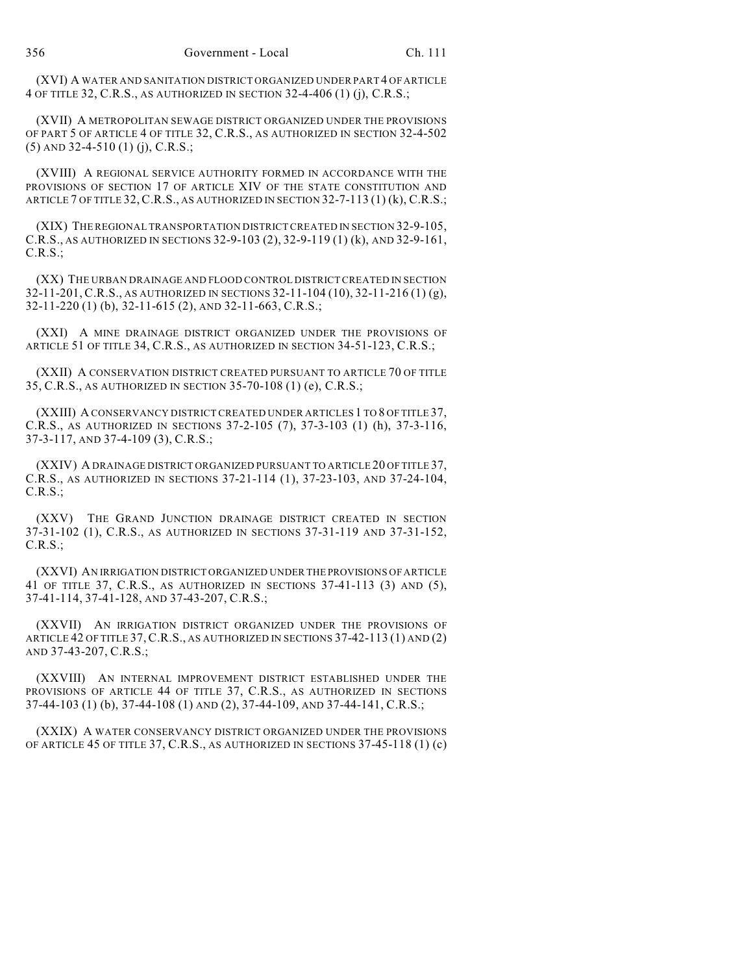(XVI) A WATER AND SANITATION DISTRICT ORGANIZED UNDER PART 4 OF ARTICLE 4 OF TITLE 32, C.R.S., AS AUTHORIZED IN SECTION 32-4-406 (1) (j), C.R.S.;

(XVII) A METROPOLITAN SEWAGE DISTRICT ORGANIZED UNDER THE PROVISIONS OF PART 5 OF ARTICLE 4 OF TITLE 32, C.R.S., AS AUTHORIZED IN SECTION 32-4-502 (5) AND 32-4-510 (1) (j), C.R.S.;

(XVIII) A REGIONAL SERVICE AUTHORITY FORMED IN ACCORDANCE WITH THE PROVISIONS OF SECTION 17 OF ARTICLE XIV OF THE STATE CONSTITUTION AND ARTICLE 7 OF TITLE 32,C.R.S., AS AUTHORIZED IN SECTION 32-7-113 (1) (k), C.R.S.;

(XIX) THE REGIONAL TRANSPORTATION DISTRICT CREATED IN SECTION 32-9-105, C.R.S., AS AUTHORIZED IN SECTIONS 32-9-103 (2), 32-9-119 (1) (k), AND 32-9-161, C.R.S.;

(XX) THE URBAN DRAINAGE AND FLOOD CONTROL DISTRICT CREATED IN SECTION 32-11-201, C.R.S., AS AUTHORIZED IN SECTIONS 32-11-104 (10), 32-11-216 (1) (g), 32-11-220 (1) (b), 32-11-615 (2), AND 32-11-663, C.R.S.;

(XXI) A MINE DRAINAGE DISTRICT ORGANIZED UNDER THE PROVISIONS OF ARTICLE 51 OF TITLE 34, C.R.S., AS AUTHORIZED IN SECTION 34-51-123, C.R.S.;

(XXII) A CONSERVATION DISTRICT CREATED PURSUANT TO ARTICLE 70 OF TITLE 35, C.R.S., AS AUTHORIZED IN SECTION 35-70-108 (1) (e), C.R.S.;

(XXIII) A CONSERVANCY DISTRICT CREATED UNDER ARTICLES 1 TO 8 OF TITLE 37, C.R.S., AS AUTHORIZED IN SECTIONS 37-2-105 (7), 37-3-103 (1) (h), 37-3-116, 37-3-117, AND 37-4-109 (3), C.R.S.;

(XXIV) A DRAINAGE DISTRICT ORGANIZED PURSUANT TO ARTICLE 20 OF TITLE 37, C.R.S., AS AUTHORIZED IN SECTIONS 37-21-114 (1), 37-23-103, AND 37-24-104, C.R.S.;

(XXV) THE GRAND JUNCTION DRAINAGE DISTRICT CREATED IN SECTION 37-31-102 (1), C.R.S., AS AUTHORIZED IN SECTIONS 37-31-119 AND 37-31-152, C.R.S.;

(XXVI) AN IRRIGATION DISTRICT ORGANIZED UNDER THE PROVISIONS OF ARTICLE 41 OF TITLE 37, C.R.S., AS AUTHORIZED IN SECTIONS 37-41-113 (3) AND (5), 37-41-114, 37-41-128, AND 37-43-207, C.R.S.;

(XXVII) AN IRRIGATION DISTRICT ORGANIZED UNDER THE PROVISIONS OF ARTICLE 42 OF TITLE 37,C.R.S., AS AUTHORIZED IN SECTIONS 37-42-113 (1) AND (2) AND 37-43-207, C.R.S.;

(XXVIII) AN INTERNAL IMPROVEMENT DISTRICT ESTABLISHED UNDER THE PROVISIONS OF ARTICLE 44 OF TITLE 37, C.R.S., AS AUTHORIZED IN SECTIONS 37-44-103 (1) (b), 37-44-108 (1) AND (2), 37-44-109, AND 37-44-141, C.R.S.;

(XXIX) A WATER CONSERVANCY DISTRICT ORGANIZED UNDER THE PROVISIONS OF ARTICLE 45 OF TITLE 37, C.R.S., AS AUTHORIZED IN SECTIONS 37-45-118 (1) (c)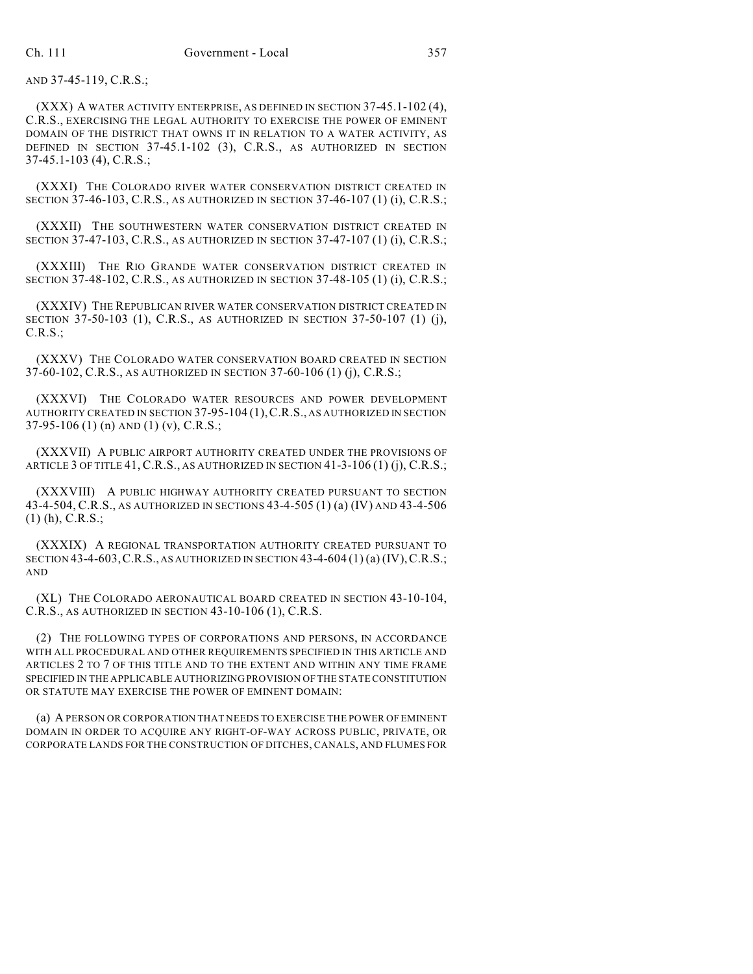AND 37-45-119, C.R.S.;

(XXX) A WATER ACTIVITY ENTERPRISE, AS DEFINED IN SECTION 37-45.1-102 (4), C.R.S., EXERCISING THE LEGAL AUTHORITY TO EXERCISE THE POWER OF EMINENT DOMAIN OF THE DISTRICT THAT OWNS IT IN RELATION TO A WATER ACTIVITY, AS DEFINED IN SECTION 37-45.1-102 (3), C.R.S., AS AUTHORIZED IN SECTION 37-45.1-103 (4), C.R.S.;

(XXXI) THE COLORADO RIVER WATER CONSERVATION DISTRICT CREATED IN SECTION 37-46-103, C.R.S., AS AUTHORIZED IN SECTION 37-46-107 (1) (i), C.R.S.;

(XXXII) THE SOUTHWESTERN WATER CONSERVATION DISTRICT CREATED IN SECTION 37-47-103, C.R.S., AS AUTHORIZED IN SECTION 37-47-107 (1) (i), C.R.S.;

(XXXIII) THE RIO GRANDE WATER CONSERVATION DISTRICT CREATED IN SECTION 37-48-102, C.R.S., AS AUTHORIZED IN SECTION 37-48-105 (1) (i), C.R.S.;

(XXXIV) THE REPUBLICAN RIVER WATER CONSERVATION DISTRICT CREATED IN SECTION 37-50-103 (1), C.R.S., AS AUTHORIZED IN SECTION 37-50-107 (1) (j), C.R.S.;

(XXXV) THE COLORADO WATER CONSERVATION BOARD CREATED IN SECTION 37-60-102, C.R.S., AS AUTHORIZED IN SECTION 37-60-106 (1) (j), C.R.S.;

(XXXVI) THE COLORADO WATER RESOURCES AND POWER DEVELOPMENT AUTHORITY CREATED IN SECTION 37-95-104 (1),C.R.S., AS AUTHORIZED IN SECTION 37-95-106 (1) (n) AND (1) (v), C.R.S.;

(XXXVII) A PUBLIC AIRPORT AUTHORITY CREATED UNDER THE PROVISIONS OF ARTICLE 3 OF TITLE 41, C.R.S., AS AUTHORIZED IN SECTION 41-3-106 (1) (j), C.R.S.;

(XXXVIII) A PUBLIC HIGHWAY AUTHORITY CREATED PURSUANT TO SECTION 43-4-504, C.R.S., AS AUTHORIZED IN SECTIONS 43-4-505 (1) (a) (IV) AND 43-4-506 (1) (h), C.R.S.;

(XXXIX) A REGIONAL TRANSPORTATION AUTHORITY CREATED PURSUANT TO SECTION 43-4-603, C.R.S., AS AUTHORIZED IN SECTION 43-4-604 (1) (a) (IV), C.R.S.; AND

(XL) THE COLORADO AERONAUTICAL BOARD CREATED IN SECTION 43-10-104, C.R.S., AS AUTHORIZED IN SECTION 43-10-106 (1), C.R.S.

(2) THE FOLLOWING TYPES OF CORPORATIONS AND PERSONS, IN ACCORDANCE WITH ALL PROCEDURAL AND OTHER REQUIREMENTS SPECIFIED IN THIS ARTICLE AND ARTICLES 2 TO 7 OF THIS TITLE AND TO THE EXTENT AND WITHIN ANY TIME FRAME SPECIFIED IN THE APPLICABLE AUTHORIZING PROVISION OF THE STATE CONSTITUTION OR STATUTE MAY EXERCISE THE POWER OF EMINENT DOMAIN:

(a) A PERSON OR CORPORATION THAT NEEDS TO EXERCISE THE POWER OF EMINENT DOMAIN IN ORDER TO ACQUIRE ANY RIGHT-OF-WAY ACROSS PUBLIC, PRIVATE, OR CORPORATE LANDS FOR THE CONSTRUCTION OF DITCHES, CANALS, AND FLUMES FOR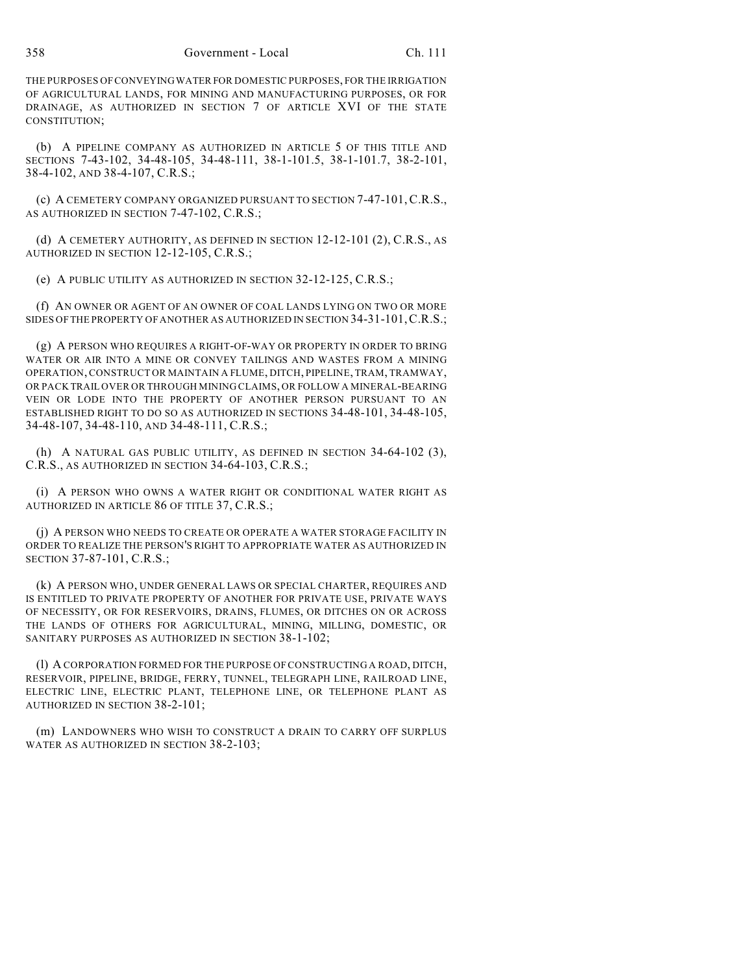THE PURPOSES OF CONVEYING WATER FOR DOMESTIC PURPOSES, FOR THE IRRIGATION OF AGRICULTURAL LANDS, FOR MINING AND MANUFACTURING PURPOSES, OR FOR DRAINAGE, AS AUTHORIZED IN SECTION 7 OF ARTICLE XVI OF THE STATE CONSTITUTION;

(b) A PIPELINE COMPANY AS AUTHORIZED IN ARTICLE 5 OF THIS TITLE AND SECTIONS 7-43-102, 34-48-105, 34-48-111, 38-1-101.5, 38-1-101.7, 38-2-101, 38-4-102, AND 38-4-107, C.R.S.;

(c) A CEMETERY COMPANY ORGANIZED PURSUANT TO SECTION 7-47-101,C.R.S., AS AUTHORIZED IN SECTION 7-47-102, C.R.S.;

(d) A CEMETERY AUTHORITY, AS DEFINED IN SECTION 12-12-101 (2), C.R.S., AS AUTHORIZED IN SECTION 12-12-105, C.R.S.;

(e) A PUBLIC UTILITY AS AUTHORIZED IN SECTION 32-12-125, C.R.S.;

(f) AN OWNER OR AGENT OF AN OWNER OF COAL LANDS LYING ON TWO OR MORE SIDES OF THE PROPERTY OF ANOTHER AS AUTHORIZED IN SECTION 34-31-101,C.R.S.;

(g) A PERSON WHO REQUIRES A RIGHT-OF-WAY OR PROPERTY IN ORDER TO BRING WATER OR AIR INTO A MINE OR CONVEY TAILINGS AND WASTES FROM A MINING OPERATION, CONSTRUCT OR MAINTAIN A FLUME, DITCH, PIPELINE, TRAM, TRAMWAY, OR PACK TRAIL OVER OR THROUGH MINING CLAIMS, OR FOLLOW A MINERAL-BEARING VEIN OR LODE INTO THE PROPERTY OF ANOTHER PERSON PURSUANT TO AN ESTABLISHED RIGHT TO DO SO AS AUTHORIZED IN SECTIONS 34-48-101, 34-48-105, 34-48-107, 34-48-110, AND 34-48-111, C.R.S.;

(h) A NATURAL GAS PUBLIC UTILITY, AS DEFINED IN SECTION 34-64-102 (3), C.R.S., AS AUTHORIZED IN SECTION 34-64-103, C.R.S.;

(i) A PERSON WHO OWNS A WATER RIGHT OR CONDITIONAL WATER RIGHT AS AUTHORIZED IN ARTICLE 86 OF TITLE 37, C.R.S.;

(j) A PERSON WHO NEEDS TO CREATE OR OPERATE A WATER STORAGE FACILITY IN ORDER TO REALIZE THE PERSON'S RIGHT TO APPROPRIATE WATER AS AUTHORIZED IN SECTION 37-87-101, C.R.S.;

(k) A PERSON WHO, UNDER GENERAL LAWS OR SPECIAL CHARTER, REQUIRES AND IS ENTITLED TO PRIVATE PROPERTY OF ANOTHER FOR PRIVATE USE, PRIVATE WAYS OF NECESSITY, OR FOR RESERVOIRS, DRAINS, FLUMES, OR DITCHES ON OR ACROSS THE LANDS OF OTHERS FOR AGRICULTURAL, MINING, MILLING, DOMESTIC, OR SANITARY PURPOSES AS AUTHORIZED IN SECTION 38-1-102;

(l) A CORPORATION FORMED FOR THE PURPOSE OF CONSTRUCTING A ROAD, DITCH, RESERVOIR, PIPELINE, BRIDGE, FERRY, TUNNEL, TELEGRAPH LINE, RAILROAD LINE, ELECTRIC LINE, ELECTRIC PLANT, TELEPHONE LINE, OR TELEPHONE PLANT AS AUTHORIZED IN SECTION 38-2-101;

(m) LANDOWNERS WHO WISH TO CONSTRUCT A DRAIN TO CARRY OFF SURPLUS WATER AS AUTHORIZED IN SECTION 38-2-103;